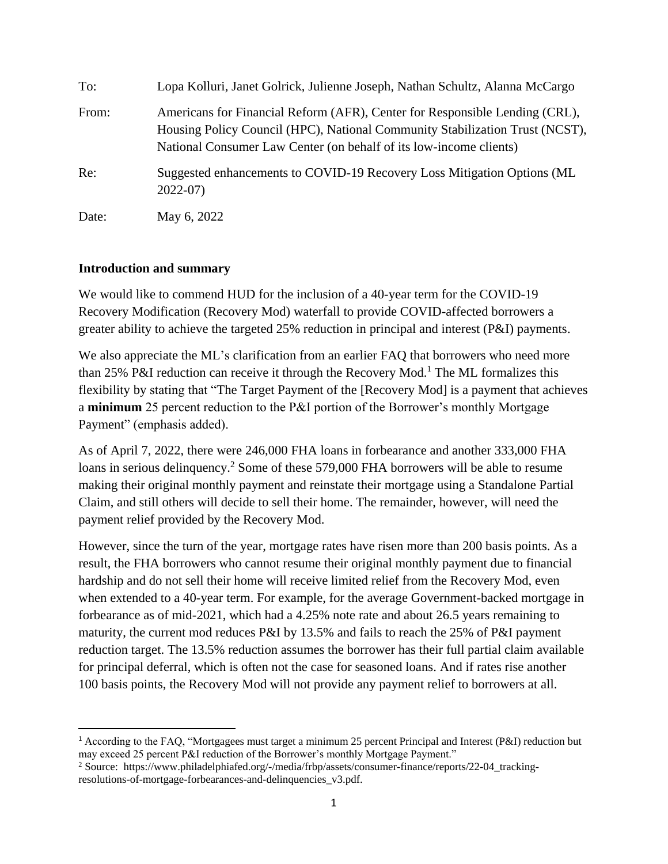| To:   | Lopa Kolluri, Janet Golrick, Julienne Joseph, Nathan Schultz, Alanna McCargo                                                                                                                                                      |
|-------|-----------------------------------------------------------------------------------------------------------------------------------------------------------------------------------------------------------------------------------|
| From: | Americans for Financial Reform (AFR), Center for Responsible Lending (CRL),<br>Housing Policy Council (HPC), National Community Stabilization Trust (NCST),<br>National Consumer Law Center (on behalf of its low-income clients) |
| Re:   | Suggested enhancements to COVID-19 Recovery Loss Mitigation Options (ML)<br>$2022-07$                                                                                                                                             |
| Date: | May 6, 2022                                                                                                                                                                                                                       |

## **Introduction and summary**

 $\overline{\phantom{a}}$ 

We would like to commend HUD for the inclusion of a 40-year term for the COVID-19 Recovery Modification (Recovery Mod) waterfall to provide COVID-affected borrowers a greater ability to achieve the targeted 25% reduction in principal and interest (P&I) payments.

We also appreciate the ML's clarification from an earlier FAO that borrowers who need more than 25% P&I reduction can receive it through the Recovery Mod.<sup>1</sup> The ML formalizes this flexibility by stating that "The Target Payment of the [Recovery Mod] is a payment that achieves a **minimum** 25 percent reduction to the P&I portion of the Borrower's monthly Mortgage Payment" (emphasis added).

As of April 7, 2022, there were 246,000 FHA loans in forbearance and another 333,000 FHA loans in serious delinquency.<sup>2</sup> Some of these 579,000 FHA borrowers will be able to resume making their original monthly payment and reinstate their mortgage using a Standalone Partial Claim, and still others will decide to sell their home. The remainder, however, will need the payment relief provided by the Recovery Mod.

However, since the turn of the year, mortgage rates have risen more than 200 basis points. As a result, the FHA borrowers who cannot resume their original monthly payment due to financial hardship and do not sell their home will receive limited relief from the Recovery Mod, even when extended to a 40-year term. For example, for the average Government-backed mortgage in forbearance as of mid-2021, which had a 4.25% note rate and about 26.5 years remaining to maturity, the current mod reduces P&I by 13.5% and fails to reach the 25% of P&I payment reduction target. The 13.5% reduction assumes the borrower has their full partial claim available for principal deferral, which is often not the case for seasoned loans. And if rates rise another 100 basis points, the Recovery Mod will not provide any payment relief to borrowers at all.

<sup>1</sup> According to the FAQ, "Mortgagees must target a minimum 25 percent Principal and Interest (P&I) reduction but may exceed 25 percent P&I reduction of the Borrower's monthly Mortgage Payment."

<sup>2</sup> Source: https://www.philadelphiafed.org/-/media/frbp/assets/consumer-finance/reports/22-04\_trackingresolutions-of-mortgage-forbearances-and-delinquencies\_v3.pdf.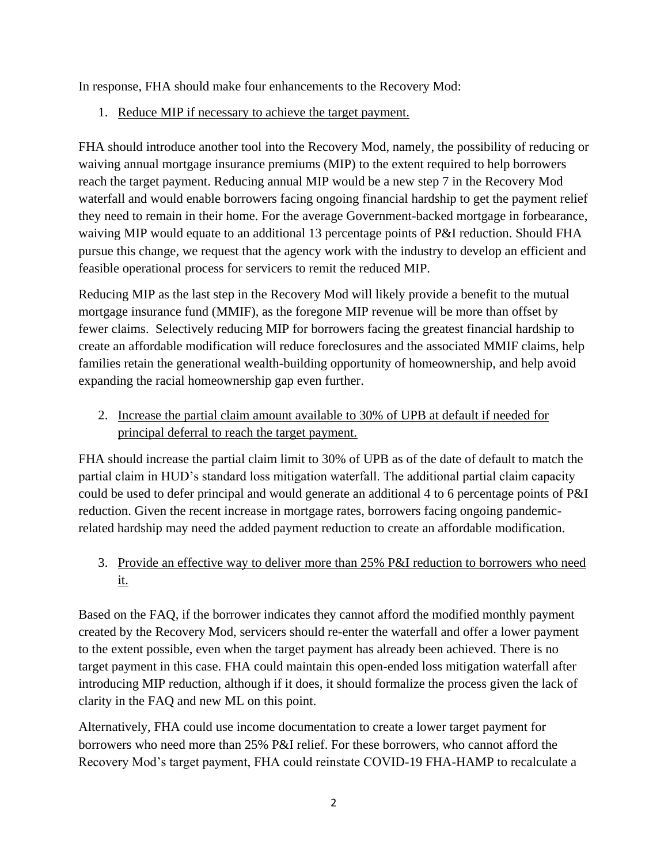In response, FHA should make four enhancements to the Recovery Mod:

1. Reduce MIP if necessary to achieve the target payment.

FHA should introduce another tool into the Recovery Mod, namely, the possibility of reducing or waiving annual mortgage insurance premiums (MIP) to the extent required to help borrowers reach the target payment. Reducing annual MIP would be a new step 7 in the Recovery Mod waterfall and would enable borrowers facing ongoing financial hardship to get the payment relief they need to remain in their home. For the average Government-backed mortgage in forbearance, waiving MIP would equate to an additional 13 percentage points of P&I reduction. Should FHA pursue this change, we request that the agency work with the industry to develop an efficient and feasible operational process for servicers to remit the reduced MIP.

Reducing MIP as the last step in the Recovery Mod will likely provide a benefit to the mutual mortgage insurance fund (MMIF), as the foregone MIP revenue will be more than offset by fewer claims. Selectively reducing MIP for borrowers facing the greatest financial hardship to create an affordable modification will reduce foreclosures and the associated MMIF claims, help families retain the generational wealth-building opportunity of homeownership, and help avoid expanding the racial homeownership gap even further.

2. Increase the partial claim amount available to 30% of UPB at default if needed for principal deferral to reach the target payment.

FHA should increase the partial claim limit to 30% of UPB as of the date of default to match the partial claim in HUD's standard loss mitigation waterfall. The additional partial claim capacity could be used to defer principal and would generate an additional 4 to 6 percentage points of P&I reduction. Given the recent increase in mortgage rates, borrowers facing ongoing pandemicrelated hardship may need the added payment reduction to create an affordable modification.

3. Provide an effective way to deliver more than 25% P&I reduction to borrowers who need it.

Based on the FAQ, if the borrower indicates they cannot afford the modified monthly payment created by the Recovery Mod, servicers should re-enter the waterfall and offer a lower payment to the extent possible, even when the target payment has already been achieved. There is no target payment in this case. FHA could maintain this open-ended loss mitigation waterfall after introducing MIP reduction, although if it does, it should formalize the process given the lack of clarity in the FAQ and new ML on this point.

Alternatively, FHA could use income documentation to create a lower target payment for borrowers who need more than 25% P&I relief. For these borrowers, who cannot afford the Recovery Mod's target payment, FHA could reinstate COVID-19 FHA-HAMP to recalculate a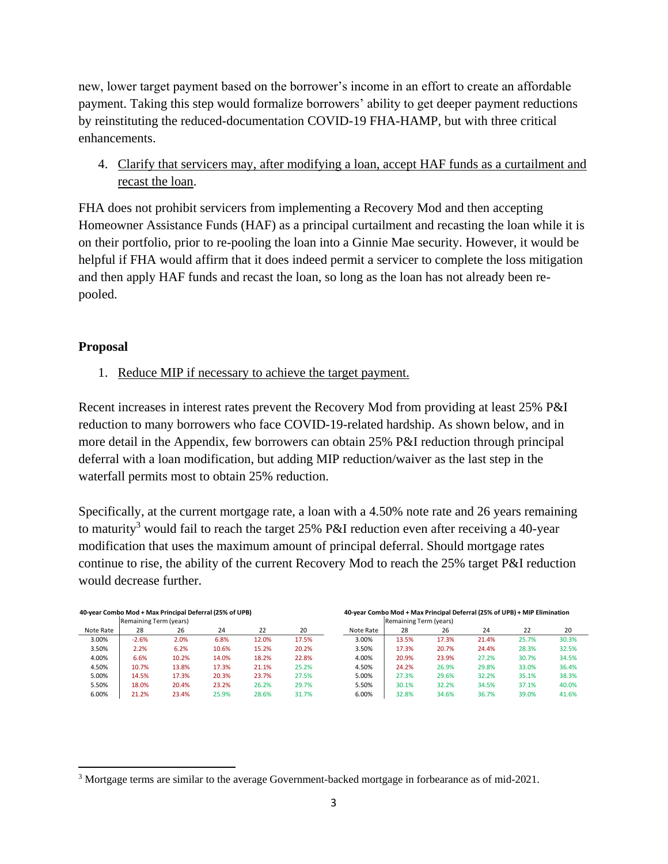new, lower target payment based on the borrower's income in an effort to create an affordable payment. Taking this step would formalize borrowers' ability to get deeper payment reductions by reinstituting the reduced-documentation COVID-19 FHA-HAMP, but with three critical enhancements.

4. Clarify that servicers may, after modifying a loan, accept HAF funds as a curtailment and recast the loan.

FHA does not prohibit servicers from implementing a Recovery Mod and then accepting Homeowner Assistance Funds (HAF) as a principal curtailment and recasting the loan while it is on their portfolio, prior to re-pooling the loan into a Ginnie Mae security. However, it would be helpful if FHA would affirm that it does indeed permit a servicer to complete the loss mitigation and then apply HAF funds and recast the loan, so long as the loan has not already been repooled.

## **Proposal**

 $\overline{\phantom{a}}$ 

1. Reduce MIP if necessary to achieve the target payment.

Recent increases in interest rates prevent the Recovery Mod from providing at least 25% P&I reduction to many borrowers who face COVID-19-related hardship. As shown below, and in more detail in the Appendix, few borrowers can obtain 25% P&I reduction through principal deferral with a loan modification, but adding MIP reduction/waiver as the last step in the waterfall permits most to obtain 25% reduction.

Specifically, at the current mortgage rate, a loan with a 4.50% note rate and 26 years remaining to maturity<sup>3</sup> would fail to reach the target 25% P&I reduction even after receiving a 40-year modification that uses the maximum amount of principal deferral. Should mortgage rates continue to rise, the ability of the current Recovery Mod to reach the 25% target P&I reduction would decrease further.

| 40-year Combo Mod + Max Principal Deferral (25% of UPB) |                        |       |       |       |       | 40-year Combo Mod + Max Principal Deferral (25% of UPB) + MIP Elimination |                        |       |       |       |       |  |  |
|---------------------------------------------------------|------------------------|-------|-------|-------|-------|---------------------------------------------------------------------------|------------------------|-------|-------|-------|-------|--|--|
|                                                         | Remaining Term (years) |       |       |       |       |                                                                           | Remaining Term (years) |       |       |       |       |  |  |
| Note Rate                                               | 28                     | 26    | 24    | 22    | 20    | Note Rate                                                                 | 28                     | 26    | 24    | 22    | 20    |  |  |
| 3.00%                                                   | $-2.6%$                | 2.0%  | 6.8%  | 12.0% | 17.5% | 3.00%                                                                     | 13.5%                  | 17.3% | 21.4% | 25.7% | 30.3% |  |  |
| 3.50%                                                   | 2.2%                   | 6.2%  | 10.6% | 15.2% | 20.2% | 3.50%                                                                     | 17.3%                  | 20.7% | 24.4% | 28.3% | 32.5% |  |  |
| 4.00%                                                   | 6.6%                   | 10.2% | 14.0% | 18.2% | 22.8% | 4.00%                                                                     | 20.9%                  | 23.9% | 27.2% | 30.7% | 34.5% |  |  |
| 4.50%                                                   | 10.7%                  | 13.8% | 17.3% | 21.1% | 25.2% | 4.50%                                                                     | 24.2%                  | 26.9% | 29.8% | 33.0% | 36.4% |  |  |
| 5.00%                                                   | 14.5%                  | 17.3% | 20.3% | 23.7% | 27.5% | 5.00%                                                                     | 27.3%                  | 29.6% | 32.2% | 35.1% | 38.3% |  |  |
| 5.50%                                                   | 18.0%                  | 20.4% | 23.2% | 26.2% | 29.7% | 5.50%                                                                     | 30.1%                  | 32.2% | 34.5% | 37.1% | 40.0% |  |  |
| 6.00%                                                   | 21.2%                  | 23.4% | 25.9% | 28.6% | 31.7% | 6.00%                                                                     | 32.8%                  | 34.6% | 36.7% | 39.0% | 41.6% |  |  |

<sup>3</sup> Mortgage terms are similar to the average Government-backed mortgage in forbearance as of mid-2021.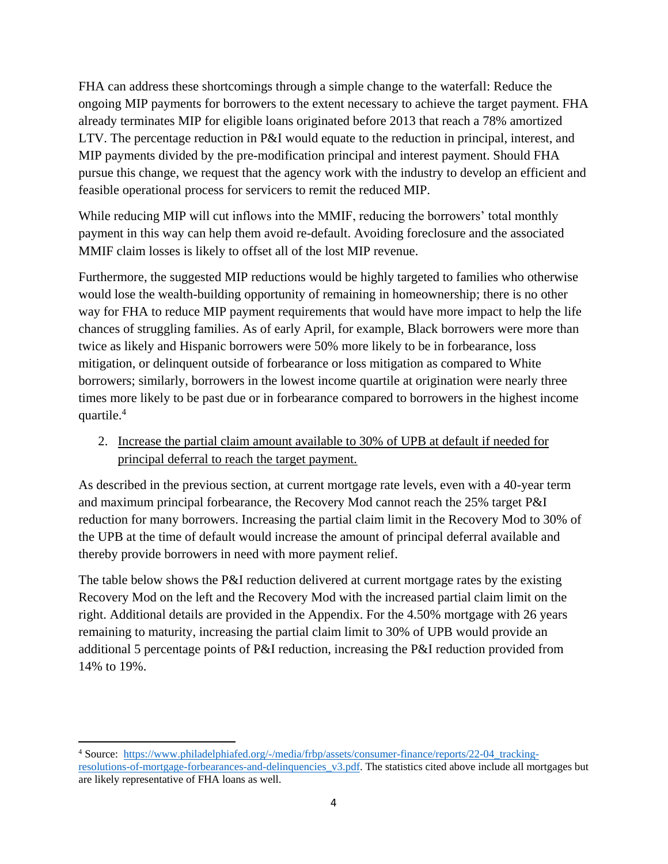FHA can address these shortcomings through a simple change to the waterfall: Reduce the ongoing MIP payments for borrowers to the extent necessary to achieve the target payment. FHA already terminates MIP for eligible loans originated before 2013 that reach a 78% amortized LTV. The percentage reduction in P&I would equate to the reduction in principal, interest, and MIP payments divided by the pre-modification principal and interest payment. Should FHA pursue this change, we request that the agency work with the industry to develop an efficient and feasible operational process for servicers to remit the reduced MIP.

While reducing MIP will cut inflows into the MMIF, reducing the borrowers' total monthly payment in this way can help them avoid re-default. Avoiding foreclosure and the associated MMIF claim losses is likely to offset all of the lost MIP revenue.

Furthermore, the suggested MIP reductions would be highly targeted to families who otherwise would lose the wealth-building opportunity of remaining in homeownership; there is no other way for FHA to reduce MIP payment requirements that would have more impact to help the life chances of struggling families. As of early April, for example, Black borrowers were more than twice as likely and Hispanic borrowers were 50% more likely to be in forbearance, loss mitigation, or delinquent outside of forbearance or loss mitigation as compared to White borrowers; similarly, borrowers in the lowest income quartile at origination were nearly three times more likely to be past due or in forbearance compared to borrowers in the highest income quartile.<sup>4</sup>

2. Increase the partial claim amount available to 30% of UPB at default if needed for principal deferral to reach the target payment.

As described in the previous section, at current mortgage rate levels, even with a 40-year term and maximum principal forbearance, the Recovery Mod cannot reach the 25% target P&I reduction for many borrowers. Increasing the partial claim limit in the Recovery Mod to 30% of the UPB at the time of default would increase the amount of principal deferral available and thereby provide borrowers in need with more payment relief.

The table below shows the P&I reduction delivered at current mortgage rates by the existing Recovery Mod on the left and the Recovery Mod with the increased partial claim limit on the right. Additional details are provided in the Appendix. For the 4.50% mortgage with 26 years remaining to maturity, increasing the partial claim limit to 30% of UPB would provide an additional 5 percentage points of P&I reduction, increasing the P&I reduction provided from 14% to 19%.

 $\overline{\phantom{a}}$ <sup>4</sup> Source: [https://www.philadelphiafed.org/-/media/frbp/assets/consumer-finance/reports/22-04\\_tracking](https://www.philadelphiafed.org/-/media/frbp/assets/consumer-finance/reports/22-04_tracking-resolutions-of-mortgage-forbearances-and-delinquencies_v3.pdf)[resolutions-of-mortgage-forbearances-and-delinquencies\\_v3.pdf.](https://www.philadelphiafed.org/-/media/frbp/assets/consumer-finance/reports/22-04_tracking-resolutions-of-mortgage-forbearances-and-delinquencies_v3.pdf) The statistics cited above include all mortgages but are likely representative of FHA loans as well.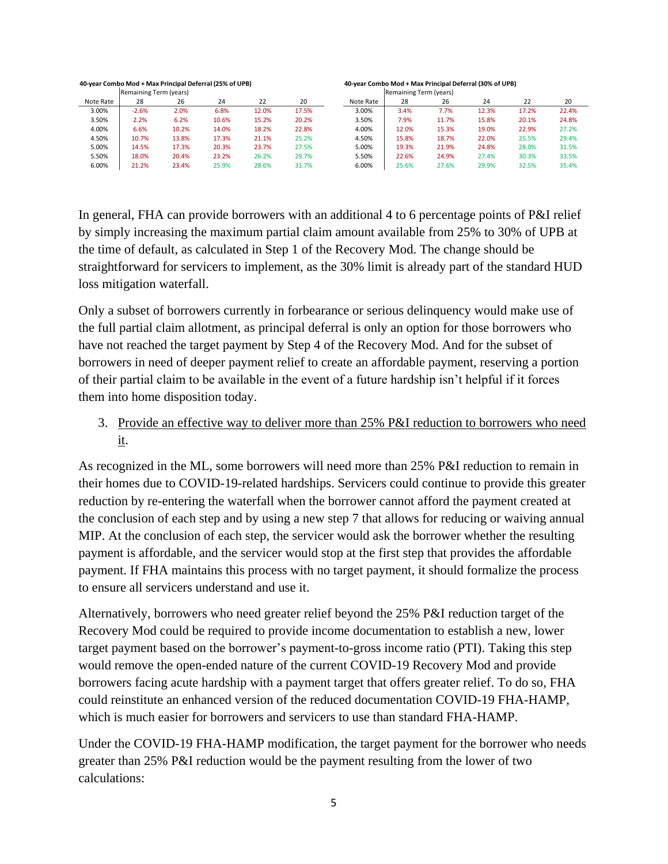#### **40-year Combo Mod + Max Principal Deferral (25% of UPB) 40-year Combo Mod + Max Principal Deferral (30% of UPB)**

|           | Remaining Term (years) |       |       |       |       |           | Remaining Term (years) |       |       |       |       |
|-----------|------------------------|-------|-------|-------|-------|-----------|------------------------|-------|-------|-------|-------|
| Note Rate | 28                     | 26    | 24    | 22    | 20    | Note Rate | 28                     | 26    | 24    | 22    | 20    |
| 3.00%     | $-2.6%$                | 2.0%  | 6.8%  | 12.0% | 17.5% | 3.00%     | 3.4%                   | 7.7%  | 12.3% | 17.2% | 22.4% |
| 3.50%     | 2.2%                   | 6.2%  | 10.6% | 15.2% | 20.2% | 3.50%     | 7.9%                   | 11.7% | 15.8% | 20.1% | 24.8% |
| 4.00%     | 6.6%                   | 10.2% | 14.0% | 18.2% | 22.8% | 4.00%     | 12.0%                  | 15.3% | 19.0% | 22.9% | 27.2% |
| 4.50%     | 10.7%                  | 13.8% | 17.3% | 21.1% | 25.2% | 4.50%     | 15.8%                  | 18.7% | 22.0% | 25.5% | 29.4% |
| 5.00%     | 14.5%                  | 17.3% | 20.3% | 23.7% | 27.5% | 5.00%     | 19.3%                  | 21.9% | 24.8% | 28.0% | 31.5% |
| 5.50%     | 18.0%                  | 20.4% | 23.2% | 26.2% | 29.7% | 5.50%     | 22.6%                  | 24.9% | 27.4% | 30.3% | 33.5% |
| 6.00%     | 21.2%                  | 23.4% | 25.9% | 28.6% | 31.7% | 6.00%     | 25.6%                  | 27.6% | 29.9% | 32.5% | 35.4% |

In general, FHA can provide borrowers with an additional 4 to 6 percentage points of P&I relief by simply increasing the maximum partial claim amount available from 25% to 30% of UPB at the time of default, as calculated in Step 1 of the Recovery Mod. The change should be straightforward for servicers to implement, as the 30% limit is already part of the standard HUD loss mitigation waterfall.

Only a subset of borrowers currently in forbearance or serious delinquency would make use of the full partial claim allotment, as principal deferral is only an option for those borrowers who have not reached the target payment by Step 4 of the Recovery Mod. And for the subset of borrowers in need of deeper payment relief to create an affordable payment, reserving a portion of their partial claim to be available in the event of a future hardship isn't helpful if it forces them into home disposition today.

3. Provide an effective way to deliver more than 25% P&I reduction to borrowers who need it.

As recognized in the ML, some borrowers will need more than 25% P&I reduction to remain in their homes due to COVID-19-related hardships. Servicers could continue to provide this greater reduction by re-entering the waterfall when the borrower cannot afford the payment created at the conclusion of each step and by using a new step 7 that allows for reducing or waiving annual MIP. At the conclusion of each step, the servicer would ask the borrower whether the resulting payment is affordable, and the servicer would stop at the first step that provides the affordable payment. If FHA maintains this process with no target payment, it should formalize the process to ensure all servicers understand and use it.

Alternatively, borrowers who need greater relief beyond the 25% P&I reduction target of the Recovery Mod could be required to provide income documentation to establish a new, lower target payment based on the borrower's payment-to-gross income ratio (PTI). Taking this step would remove the open-ended nature of the current COVID-19 Recovery Mod and provide borrowers facing acute hardship with a payment target that offers greater relief. To do so, FHA could reinstitute an enhanced version of the reduced documentation COVID-19 FHA-HAMP, which is much easier for borrowers and servicers to use than standard FHA-HAMP.

Under the COVID-19 FHA-HAMP modification, the target payment for the borrower who needs greater than 25% P&I reduction would be the payment resulting from the lower of two calculations: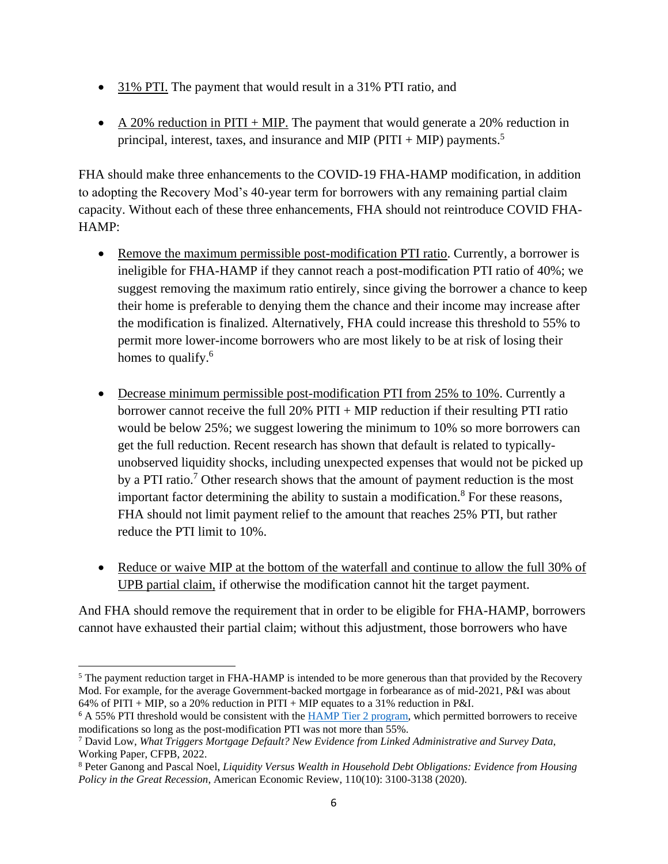- 31% PTI. The payment that would result in a 31% PTI ratio, and
- A 20% reduction in PITI + MIP. The payment that would generate a 20% reduction in principal, interest, taxes, and insurance and MIP (PITI + MIP) payments.<sup>5</sup>

FHA should make three enhancements to the COVID-19 FHA-HAMP modification, in addition to adopting the Recovery Mod's 40-year term for borrowers with any remaining partial claim capacity. Without each of these three enhancements, FHA should not reintroduce COVID FHA-HAMP:

- Remove the maximum permissible post-modification PTI ratio. Currently, a borrower is ineligible for FHA-HAMP if they cannot reach a post-modification PTI ratio of 40%; we suggest removing the maximum ratio entirely, since giving the borrower a chance to keep their home is preferable to denying them the chance and their income may increase after the modification is finalized. Alternatively, FHA could increase this threshold to 55% to permit more lower-income borrowers who are most likely to be at risk of losing their homes to qualify.<sup>6</sup>
- Decrease minimum permissible post-modification PTI from 25% to 10%. Currently a borrower cannot receive the full 20%  $PITI + MIP$  reduction if their resulting PTI ratio would be below 25%; we suggest lowering the minimum to 10% so more borrowers can get the full reduction. Recent research has shown that default is related to typicallyunobserved liquidity shocks, including unexpected expenses that would not be picked up by a PTI ratio.<sup>7</sup> Other research shows that the amount of payment reduction is the most important factor determining the ability to sustain a modification.<sup>8</sup> For these reasons, FHA should not limit payment relief to the amount that reaches 25% PTI, but rather reduce the PTI limit to 10%.
- Reduce or waive MIP at the bottom of the waterfall and continue to allow the full 30% of UPB partial claim, if otherwise the modification cannot hit the target payment.

And FHA should remove the requirement that in order to be eligible for FHA-HAMP, borrowers cannot have exhausted their partial claim; without this adjustment, those borrowers who have

 $\overline{\phantom{a}}$ <sup>5</sup> The payment reduction target in FHA-HAMP is intended to be more generous than that provided by the Recovery Mod. For example, for the average Government-backed mortgage in forbearance as of mid-2021, P&I was about 64% of PITI + MIP, so a 20% reduction in PITI + MIP equates to a 31% reduction in P&I.

<sup>&</sup>lt;sup>6</sup> A 55% PTI threshold would be consistent with the [HAMP Tier 2 program,](https://www.hmpadmin.com/portal/programs/docs/hamp_servicer/sd1209.pdf) which permitted borrowers to receive modifications so long as the post-modification PTI was not more than 55%.

<sup>7</sup> David Low, *What Triggers Mortgage Default? New Evidence from Linked Administrative and Survey Data*, Working Paper, CFPB, 2022.

<sup>8</sup> Peter Ganong and Pascal Noel, *Liquidity Versus Wealth in Household Debt Obligations: Evidence from Housing Policy in the Great Recession*, American Economic Review, 110(10): 3100-3138 (2020).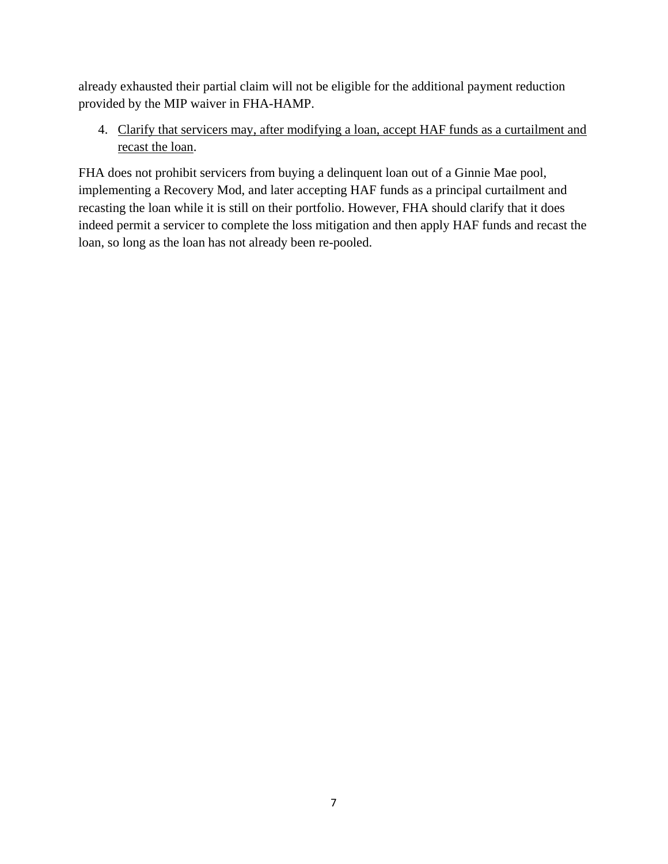already exhausted their partial claim will not be eligible for the additional payment reduction provided by the MIP waiver in FHA-HAMP.

4. Clarify that servicers may, after modifying a loan, accept HAF funds as a curtailment and recast the loan.

FHA does not prohibit servicers from buying a delinquent loan out of a Ginnie Mae pool, implementing a Recovery Mod, and later accepting HAF funds as a principal curtailment and recasting the loan while it is still on their portfolio. However, FHA should clarify that it does indeed permit a servicer to complete the loss mitigation and then apply HAF funds and recast the loan, so long as the loan has not already been re-pooled.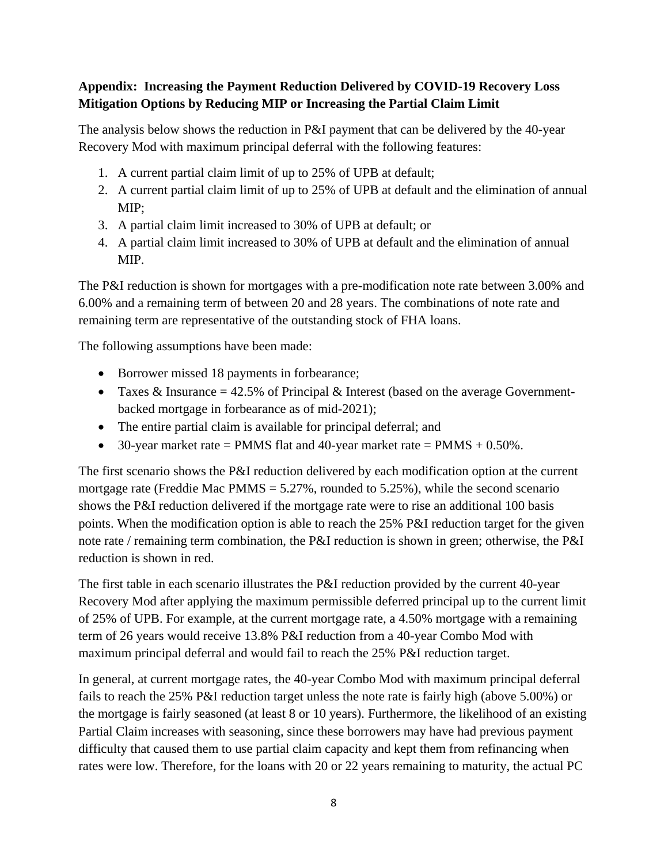# **Appendix: Increasing the Payment Reduction Delivered by COVID-19 Recovery Loss Mitigation Options by Reducing MIP or Increasing the Partial Claim Limit**

The analysis below shows the reduction in P&I payment that can be delivered by the 40-year Recovery Mod with maximum principal deferral with the following features:

- 1. A current partial claim limit of up to 25% of UPB at default;
- 2. A current partial claim limit of up to 25% of UPB at default and the elimination of annual MIP;
- 3. A partial claim limit increased to 30% of UPB at default; or
- 4. A partial claim limit increased to 30% of UPB at default and the elimination of annual MIP.

The P&I reduction is shown for mortgages with a pre-modification note rate between 3.00% and 6.00% and a remaining term of between 20 and 28 years. The combinations of note rate and remaining term are representative of the outstanding stock of FHA loans.

The following assumptions have been made:

- Borrower missed 18 payments in forbearance;
- Taxes & Insurance  $= 42.5\%$  of Principal & Interest (based on the average Governmentbacked mortgage in forbearance as of mid-2021);
- The entire partial claim is available for principal deferral; and
- 30-year market rate = PMMS flat and 40-year market rate = PMMS  $+ 0.50\%$ .

The first scenario shows the P&I reduction delivered by each modification option at the current mortgage rate (Freddie Mac PMMS  $= 5.27\%$ , rounded to 5.25%), while the second scenario shows the P&I reduction delivered if the mortgage rate were to rise an additional 100 basis points. When the modification option is able to reach the 25% P&I reduction target for the given note rate / remaining term combination, the P&I reduction is shown in green; otherwise, the P&I reduction is shown in red.

The first table in each scenario illustrates the P&I reduction provided by the current 40-year Recovery Mod after applying the maximum permissible deferred principal up to the current limit of 25% of UPB. For example, at the current mortgage rate, a 4.50% mortgage with a remaining term of 26 years would receive 13.8% P&I reduction from a 40-year Combo Mod with maximum principal deferral and would fail to reach the 25% P&I reduction target.

In general, at current mortgage rates, the 40-year Combo Mod with maximum principal deferral fails to reach the 25% P&I reduction target unless the note rate is fairly high (above 5.00%) or the mortgage is fairly seasoned (at least 8 or 10 years). Furthermore, the likelihood of an existing Partial Claim increases with seasoning, since these borrowers may have had previous payment difficulty that caused them to use partial claim capacity and kept them from refinancing when rates were low. Therefore, for the loans with 20 or 22 years remaining to maturity, the actual PC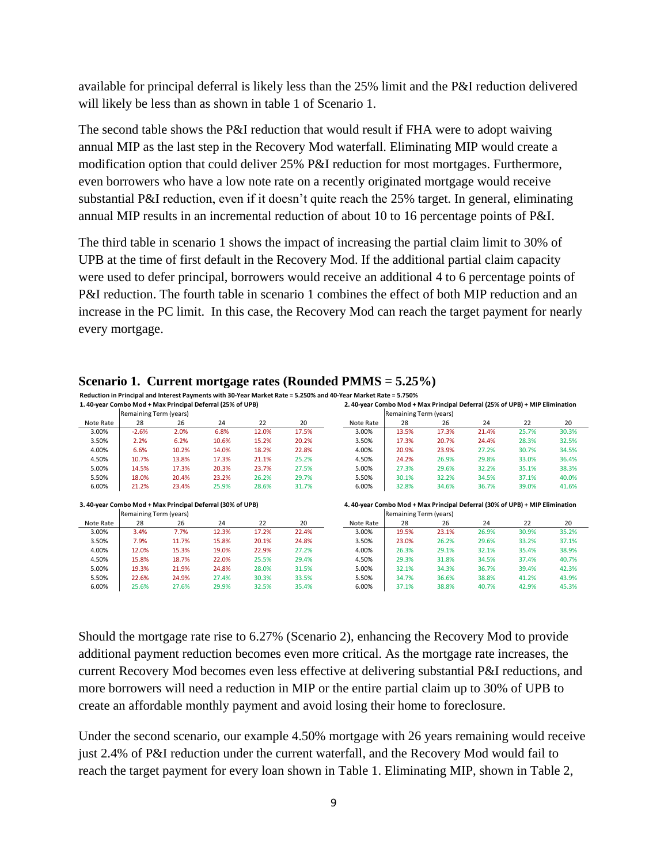available for principal deferral is likely less than the 25% limit and the P&I reduction delivered will likely be less than as shown in table 1 of Scenario 1.

The second table shows the P&I reduction that would result if FHA were to adopt waiving annual MIP as the last step in the Recovery Mod waterfall. Eliminating MIP would create a modification option that could deliver 25% P&I reduction for most mortgages. Furthermore, even borrowers who have a low note rate on a recently originated mortgage would receive substantial P&I reduction, even if it doesn't quite reach the 25% target. In general, eliminating annual MIP results in an incremental reduction of about 10 to 16 percentage points of P&I.

The third table in scenario 1 shows the impact of increasing the partial claim limit to 30% of UPB at the time of first default in the Recovery Mod. If the additional partial claim capacity were used to defer principal, borrowers would receive an additional 4 to 6 percentage points of P&I reduction. The fourth table in scenario 1 combines the effect of both MIP reduction and an increase in the PC limit. In this case, the Recovery Mod can reach the target payment for nearly every mortgage.

| 1.40-year Combo Mod + Max Principal Deferral (25% of UPB) |                        |       |       |       | 2. 40-year Combo Mod + Max Principal Deferral (25% of UPB) + MIP Elimination |                                                                             |                        |       |       |       |       |  |  |
|-----------------------------------------------------------|------------------------|-------|-------|-------|------------------------------------------------------------------------------|-----------------------------------------------------------------------------|------------------------|-------|-------|-------|-------|--|--|
|                                                           | Remaining Term (years) |       |       |       |                                                                              | Remaining Term (years)                                                      |                        |       |       |       |       |  |  |
| Note Rate                                                 | 28                     | 26    | 24    | 22    | 20                                                                           | Note Rate                                                                   | 28                     | 26    | 24    | 22    | 20    |  |  |
| 3.00%                                                     | $-2.6%$                | 2.0%  | 6.8%  | 12.0% | 17.5%                                                                        | 3.00%                                                                       | 13.5%                  | 17.3% | 21.4% | 25.7% | 30.3% |  |  |
| 3.50%                                                     | 2.2%                   | 6.2%  | 10.6% | 15.2% | 20.2%                                                                        | 3.50%                                                                       | 17.3%                  | 20.7% | 24.4% | 28.3% | 32.5% |  |  |
| 4.00%                                                     | 6.6%                   | 10.2% | 14.0% | 18.2% | 22.8%                                                                        | 4.00%                                                                       | 20.9%                  | 23.9% | 27.2% | 30.7% | 34.5% |  |  |
| 4.50%                                                     | 10.7%                  | 13.8% | 17.3% | 21.1% | 25.2%                                                                        | 4.50%                                                                       | 24.2%                  | 26.9% | 29.8% | 33.0% | 36.4% |  |  |
| 5.00%                                                     | 14.5%                  | 17.3% | 20.3% | 23.7% | 27.5%                                                                        | 5.00%                                                                       | 27.3%                  | 29.6% | 32.2% | 35.1% | 38.3% |  |  |
| 5.50%                                                     | 18.0%                  | 20.4% | 23.2% | 26.2% | 29.7%                                                                        | 5.50%                                                                       | 30.1%                  | 32.2% | 34.5% | 37.1% | 40.0% |  |  |
| 6.00%                                                     | 21.2%                  | 23.4% | 25.9% | 28.6% | 31.7%                                                                        | 6.00%                                                                       | 32.8%                  | 34.6% | 36.7% | 39.0% | 41.6% |  |  |
| 3.40-year Combo Mod + Max Principal Deferral (30% of UPB) |                        |       |       |       |                                                                              |                                                                             |                        |       |       |       |       |  |  |
|                                                           |                        |       |       |       |                                                                              | 4.40-year Combo Mod + Max Principal Deferral (30% of UPB) + MIP Elimination |                        |       |       |       |       |  |  |
|                                                           | Remaining Term (years) |       |       |       |                                                                              |                                                                             | Remaining Term (years) |       |       |       |       |  |  |
| Note Rate                                                 | 28                     | 26    | 24    | 22    | 20                                                                           | Note Rate                                                                   | 28                     | 26    | 24    | 22    | 20    |  |  |
| 3.00%                                                     | 3.4%                   | 7.7%  | 12.3% | 17.2% | 22.4%                                                                        | 3.00%                                                                       | 19.5%                  | 23.1% | 26.9% | 30.9% | 35.2% |  |  |
| 3.50%                                                     | 7.9%                   | 11.7% | 15.8% | 20.1% | 24.8%                                                                        | 3.50%                                                                       | 23.0%                  | 26.2% | 29.6% | 33.2% | 37.1% |  |  |
| 4.00%                                                     | 12.0%                  | 15.3% | 19.0% | 22.9% | 27.2%                                                                        | 4.00%                                                                       | 26.3%                  | 29.1% | 32.1% | 35.4% | 38.9% |  |  |
| 4.50%                                                     | 15.8%                  | 18.7% | 22.0% | 25.5% | 29.4%                                                                        | 4.50%                                                                       | 29.3%                  | 31.8% | 34.5% | 37.4% | 40.7% |  |  |
| 5.00%                                                     | 19.3%                  | 21.9% | 24.8% | 28.0% | 31.5%                                                                        | 5.00%                                                                       | 32.1%                  | 34.3% | 36.7% | 39.4% | 42.3% |  |  |
| 5.50%                                                     | 22.6%                  | 24.9% | 27.4% | 30.3% | 33.5%                                                                        | 5.50%                                                                       | 34.7%                  | 36.6% | 38.8% | 41.2% | 43.9% |  |  |

**Scenario 1. Current mortgage rates (Rounded PMMS = 5.25%) Reduction in Principal and Interest Payments with 30-Year Market Rate = 5.250% and 40-Year Market Rate = 5.750%**

Should the mortgage rate rise to 6.27% (Scenario 2), enhancing the Recovery Mod to provide additional payment reduction becomes even more critical. As the mortgage rate increases, the current Recovery Mod becomes even less effective at delivering substantial P&I reductions, and more borrowers will need a reduction in MIP or the entire partial claim up to 30% of UPB to create an affordable monthly payment and avoid losing their home to foreclosure.

Under the second scenario, our example 4.50% mortgage with 26 years remaining would receive just 2.4% of P&I reduction under the current waterfall, and the Recovery Mod would fail to reach the target payment for every loan shown in Table 1. Eliminating MIP, shown in Table 2,